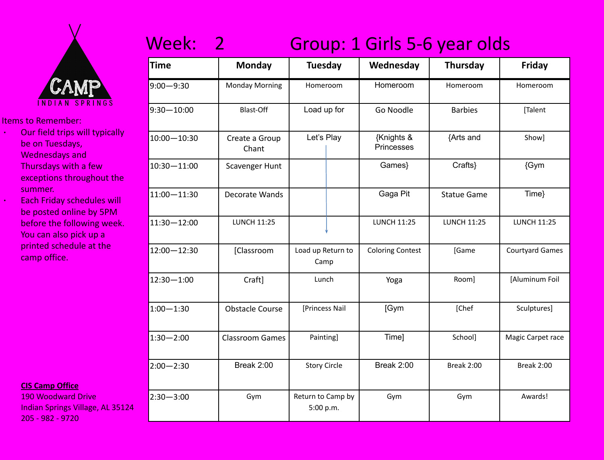

- ∙ Our field trips will typically be on Tuesdays, Wednesdays and Thursdays with a few exceptions throughout the summer.
	- ∙ Each Friday schedules will be posted online by 5PM before the following week. You can also pick up a printed schedule at the camp office.

**CIS Camp Office**

190 Woodward Drive Indian Springs Village, AL 35124 205 - 982 - 9720

### Week: 2 Group: 1 Girls 5-6 year olds

| <b>Time</b>     | <b>Monday</b>           | <b>Tuesday</b>                 |  | Wednesday                | <b>Thursday</b>    | Friday                 |
|-----------------|-------------------------|--------------------------------|--|--------------------------|--------------------|------------------------|
| $9:00 - 9:30$   | <b>Monday Morning</b>   | Homeroom                       |  | Homeroom                 | Homeroom           | Homeroom               |
| $9:30 - 10:00$  | <b>Blast-Off</b>        | Load up for                    |  | Go Noodle                | <b>Barbies</b>     | [Talent                |
| $10:00 - 10:30$ | Create a Group<br>Chant | Let's Play                     |  | {Knights &<br>Princesses | {Arts and          | Show]                  |
| $10:30 - 11:00$ | Scavenger Hunt          |                                |  | Games}                   | Crafts}            | {Gym                   |
| $11:00 - 11:30$ | Decorate Wands          |                                |  | Gaga Pit                 | <b>Statue Game</b> | Time}                  |
| $11:30 - 12:00$ | <b>LUNCH 11:25</b>      |                                |  | <b>LUNCH 11:25</b>       | <b>LUNCH 11:25</b> | <b>LUNCH 11:25</b>     |
| $12:00 - 12:30$ | [Classroom              | Load up Return to<br>Camp      |  | <b>Coloring Contest</b>  | [Game              | <b>Courtyard Games</b> |
| $12:30 - 1:00$  | Craft]                  | Lunch                          |  | Yoga                     | Room]              | [Aluminum Foil         |
| $1:00 - 1:30$   | <b>Obstacle Course</b>  | [Princess Nail                 |  | [Gym                     | [Chef              | Sculptures]            |
| $1:30 - 2:00$   | <b>Classroom Games</b>  | Painting]                      |  | Time]                    | School]            | Magic Carpet race      |
| $2:00 - 2:30$   | Break 2:00              | <b>Story Circle</b>            |  | <b>Break 2:00</b>        | <b>Break 2:00</b>  | <b>Break 2:00</b>      |
| $2:30 - 3:00$   | Gym                     | Return to Camp by<br>5:00 p.m. |  | Gym                      | Gym                | Awards!                |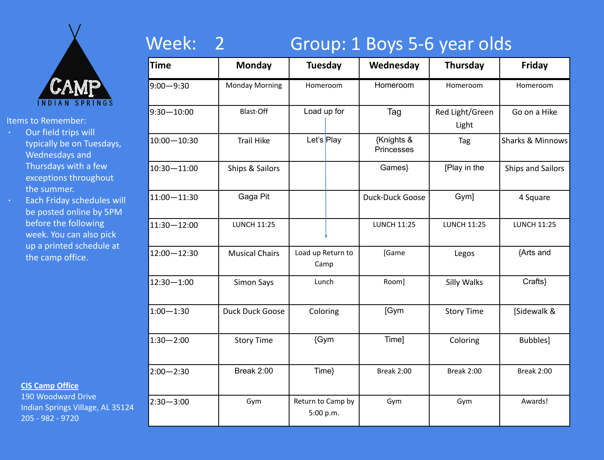

- ∙ Our field trips will typically be on Tuesdays, Wednesdays and Thursdays with a few exceptions throughout the summer.
- ∙ Each Friday schedules will be posted online by 5PM before the following week. You can also pick up a printed schedule at the camp office.

#### **CIS Camp Office**

190 Woodward Drive Indian Springs Village, AL 35124 205 - 982 - 9720

### Week: 2 Group: 1 Boys 5-6 year olds

| <b>Time</b>     | <b>Monday</b>         | <b>Tuesday</b>                 |  | Wednesday                | <b>Thursday</b>          | Friday                   |
|-----------------|-----------------------|--------------------------------|--|--------------------------|--------------------------|--------------------------|
| $9:00 - 9:30$   | <b>Monday Morning</b> | Homeroom                       |  | Homeroom                 | Homeroom                 | Homeroom                 |
| $9:30 - 10:00$  | <b>Blast-Off</b>      | Load up for                    |  | Tag                      | Red Light/Green<br>Light | Go on a Hike             |
| $10:00 - 10:30$ | <b>Trail Hike</b>     | Let's Play                     |  | {Knights &<br>Princesses | Tag                      | Sharks & Minnows         |
| $10:30 - 11:00$ | Ships & Sailors       |                                |  | Games}                   | [Play in the             | <b>Ships and Sailors</b> |
| $11:00 - 11:30$ | Gaga Pit              |                                |  | Duck-Duck Goose          | Gym]                     | 4 Square                 |
| $11:30 - 12:00$ | <b>LUNCH 11:25</b>    |                                |  | <b>LUNCH 11:25</b>       | <b>LUNCH 11:25</b>       | <b>LUNCH 11:25</b>       |
| $12:00 - 12:30$ | <b>Musical Chairs</b> | Load up Return to<br>Camp      |  | [Game                    | Legos                    | {Arts and                |
| $12:30 - 1:00$  | <b>Simon Says</b>     | Lunch                          |  | Room]                    | Silly Walks              | Crafts}                  |
| $1:00 - 1:30$   | Duck Duck Goose       | Coloring                       |  | [Gym                     | <b>Story Time</b>        | [Sidewalk &              |
| $1:30 - 2:00$   | <b>Story Time</b>     | {Gym                           |  | Time]                    | Coloring                 | Bubbles]                 |
| $2:00 - 2:30$   | Break 2:00            | Time}                          |  | <b>Break 2:00</b>        | <b>Break 2:00</b>        | Break 2:00               |
| $2:30 - 3:00$   | Gym                   | Return to Camp by<br>5:00 p.m. |  | Gym                      | Gym                      | Awards!                  |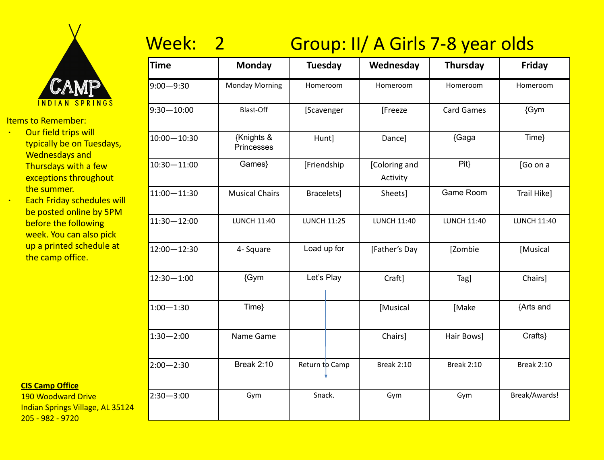

- ∙ Our field trips will typically be on Tuesdays, Wednesdays and Thursdays with a few exceptions throughout the summer.
- ∙ Each Friday schedules will be posted online by 5PM before the following week. You can also pick up a printed schedule at the camp office.

#### **CIS Camp Office**

190 Woodward Drive Indian Springs Village, AL 35124 205 - 982 - 9720

# Week: 2 Group: II/ A Girls 7-8 year olds

| Time           | <b>Monday</b>            | <b>Tuesday</b>     |  | Wednesday                 | <b>Thursday</b>    | <b>Friday</b>      |
|----------------|--------------------------|--------------------|--|---------------------------|--------------------|--------------------|
| $9:00 - 9:30$  | <b>Monday Morning</b>    | Homeroom           |  | Homeroom                  | Homeroom           | Homeroom           |
| $9:30 - 10:00$ | Blast-Off                | [Scavenger         |  | [Freeze                   | <b>Card Games</b>  | {Gym               |
| 10:00-10:30    | {Knights &<br>Princesses | Hunt]              |  | Dance]                    | {Gaga              | Time}              |
| 10:30-11:00    | Games}                   | [Friendship        |  | [Coloring and<br>Activity | Pit                | [Go on a           |
| 11:00-11:30    | <b>Musical Chairs</b>    | Bracelets]         |  | Sheets]                   | Game Room          | Trail Hike]        |
| 11:30-12:00    | <b>LUNCH 11:40</b>       | <b>LUNCH 11:25</b> |  | <b>LUNCH 11:40</b>        | <b>LUNCH 11:40</b> | <b>LUNCH 11:40</b> |
| 12:00-12:30    | 4- Square                | Load up for        |  | [Father's Day             | [Zombie            | [Musical           |
| 12:30-1:00     | {Gym                     | Let's Play         |  | Craft]                    | Tag]               | Chairs]            |
| $1:00 - 1:30$  | Time}                    |                    |  | [Musical                  | [Make              | {Arts and          |
| $1:30 - 2:00$  | Name Game                |                    |  | Chairs]                   | Hair Bows]         | Crafts}            |
| $2:00 - 2:30$  | <b>Break 2:10</b>        | Return to Camp     |  | <b>Break 2:10</b>         | <b>Break 2:10</b>  | <b>Break 2:10</b>  |
| 2:30-3:00      | Gym                      | Snack.             |  | Gym                       | Gym                | Break/Awards!      |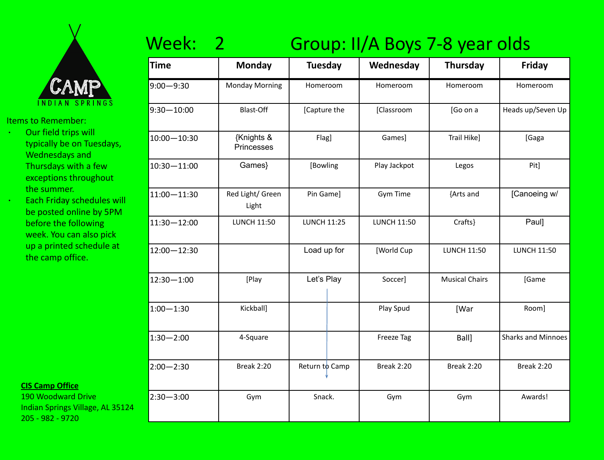

- ∙ Our field trips will typically be on Tuesdays, Wednesdays and Thursdays with a few exceptions throughout the summer.
- ∙ Each Friday schedules will be posted online by 5PM before the following week. You can also pick up a printed schedule at the camp office.

#### **CIS Camp Office**

190 Woodward Drive Indian Springs Village, AL 35124 205 - 982 - 9720

# Week: 2 Group: II/A Boys 7-8 year olds

| <b>Time</b>     | <b>Monday</b>             | <b>Tuesday</b>     | Wednesday          | <b>Thursday</b>       | Friday                    |
|-----------------|---------------------------|--------------------|--------------------|-----------------------|---------------------------|
| $9:00 - 9:30$   | <b>Monday Morning</b>     | Homeroom           | Homeroom           | Homeroom              | Homeroom                  |
| $9:30 - 10:00$  | Blast-Off                 | [Capture the       | [Classroom         | [Go on a              | Heads up/Seven Up         |
| $10:00 - 10:30$ | {Knights &<br>Princesses  | Flag]              | Games]             | Trail Hike]           | [Gaga                     |
| 10:30-11:00     | Games}                    | [Bowling           | Play Jackpot       | Legos                 | Pit]                      |
| 11:00-11:30     | Red Light/ Green<br>Light | Pin Game]          | Gym Time           | {Arts and             | [Canoeing w/              |
| 11:30-12:00     | <b>LUNCH 11:50</b>        | <b>LUNCH 11:25</b> | <b>LUNCH 11:50</b> | Crafts}               | Paul]                     |
| 12:00-12:30     |                           | Load up for        | [World Cup         | <b>LUNCH 11:50</b>    | <b>LUNCH 11:50</b>        |
| $12:30 - 1:00$  | [Play                     | Let's Play         | Soccer]            | <b>Musical Chairs</b> | [Game                     |
| $1:00 - 1:30$   | Kickball]                 |                    | Play Spud          | [War                  | Room]                     |
| $1:30 - 2:00$   | 4-Square                  |                    | <b>Freeze Tag</b>  | Ball]                 | <b>Sharks and Minnoes</b> |
| $2:00 - 2:30$   | <b>Break 2:20</b>         | Return to Camp     | <b>Break 2:20</b>  | <b>Break 2:20</b>     | <b>Break 2:20</b>         |
| $2:30 - 3:00$   | Gym                       | Snack.             | Gym                | Gym                   | Awards!                   |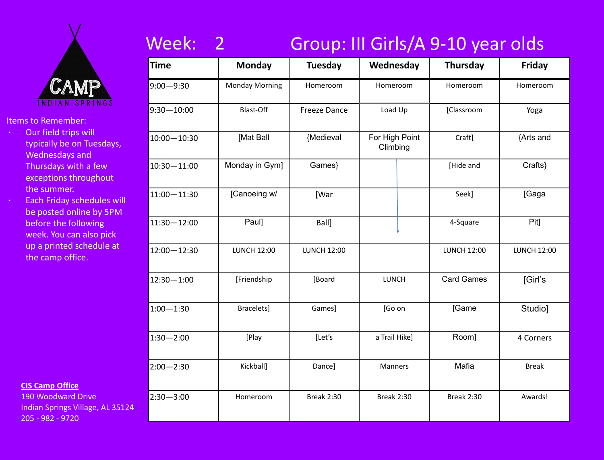

- ∙ Our field trips will typically be on Tuesdays, Wednesdays and Thursdays with a few exceptions throughout the summer.
- ∙ Each Friday schedules will be posted online by 5PM before the following week. You can also pick up a printed schedule at the camp office.

#### **CIS Camp Office**

190 Woodward Drive Indian Springs Village, AL 35124 205 - 982 - 9720

### Week: 2 Group: III Girls/A 9-10 year olds

| <b>Time</b>     | <b>Monday</b>         | Tuesday             | Wednesday                  | <b>Thursday</b>    | Friday             |
|-----------------|-----------------------|---------------------|----------------------------|--------------------|--------------------|
| $9:00 - 9:30$   | <b>Monday Morning</b> | Homeroom            | Homeroom                   | Homeroom           | Homeroom           |
| $9:30 - 10:00$  | <b>Blast-Off</b>      | <b>Freeze Dance</b> | Load Up                    | [Classroom         | Yoga               |
| $10:00 - 10:30$ | [Mat Ball             | {Medieval           | For High Point<br>Climbing | Craft]             | {Arts and          |
| $10:30 - 11:00$ | Monday in Gym]        | Games}              |                            | [Hide and          | Crafts}            |
| $11:00 - 11:30$ | [Canoeing w/          | [War                |                            | Seek]              | [Gaga              |
| $11:30 - 12:00$ | Paul]                 | Ball]               |                            | 4-Square           | Pit]               |
| $12:00 - 12:30$ | <b>LUNCH 12:00</b>    | <b>LUNCH 12:00</b>  |                            | <b>LUNCH 12:00</b> | <b>LUNCH 12:00</b> |
| $12:30 - 1:00$  | [Friendship           | [Board              | <b>LUNCH</b>               | <b>Card Games</b>  | [Girl's            |
| $1:00 - 1:30$   | Bracelets]            | Games]              | [Go on                     | [Game              | Studio]            |
| $1:30 - 2:00$   | [Play                 | [Let's              | a Trail Hike]              | Room]              | 4 Corners          |
| $2:00 - 2:30$   | Kickball]             | Dance]              | Manners                    | Mafia              | <b>Break</b>       |
| $2:30 - 3:00$   | Homeroom              | <b>Break 2:30</b>   | <b>Break 2:30</b>          | <b>Break 2:30</b>  | Awards!            |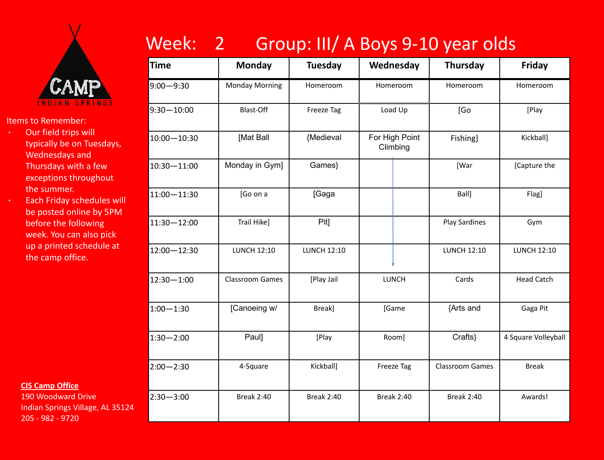

- ∙ Our field trips will typically be on Tuesdays, Wednesdays and Thursdays with a few exceptions throughout the summer.
- ∙ Each Friday schedules will be posted online by 5PM before the following week. You can also pick up a printed schedule at the camp office.

**CIS Camp Office**

190 Woodward Drive Indian Springs Village, AL 35124 205 - 982 - 9720

# Week: 2 Group: III/ A Boys 9-10 year olds

| <b>Time</b>     | <b>Monday</b>          | <b>Tuesday</b>     | Wednesday                  | <b>Thursday</b>        | Friday              |
|-----------------|------------------------|--------------------|----------------------------|------------------------|---------------------|
| $9:00 - 9:30$   | <b>Monday Morning</b>  | Homeroom           | Homeroom                   | Homeroom               | Homeroom            |
| $9:30 - 10:00$  | Blast-Off              | Freeze Tag         | Load Up                    | [Go                    | [Play               |
| $10:00 - 10:30$ | [Mat Ball              | {Medieval          | For High Point<br>Climbing | Fishing]               | Kickball]           |
| 10:30-11:00     | Monday in Gym]         | Games}             |                            | [War                   | [Capture the        |
| 11:00 - 11:30   | [Go on a               | [Gaga              |                            | Ball]                  | Flag]               |
| $11:30 - 12:00$ | Trail Hike]            | Pit]               |                            | <b>Play Sardines</b>   | Gym                 |
| 12:00-12:30     | <b>LUNCH 12:10</b>     | <b>LUNCH 12:10</b> |                            | <b>LUNCH 12:10</b>     | <b>LUNCH 12:10</b>  |
| $12:30 - 1:00$  | <b>Classroom Games</b> | [Play Jail         | LUNCH                      | Cards                  | <b>Head Catch</b>   |
| $1:00 - 1:30$   | [Canoeing w/           | Break]             | [Game                      | {Arts and              | Gaga Pit            |
| $1:30 - 2:00$   | Paul]                  | [Play              | Room]                      | Crafts}                | 4 Square Volleyball |
| $2:00 - 2:30$   | 4-Square               | Kickball]          | <b>Freeze Tag</b>          | <b>Classroom Games</b> | <b>Break</b>        |
| $2:30 - 3:00$   | <b>Break 2:40</b>      | <b>Break 2:40</b>  | <b>Break 2:40</b>          | <b>Break 2:40</b>      | Awards!             |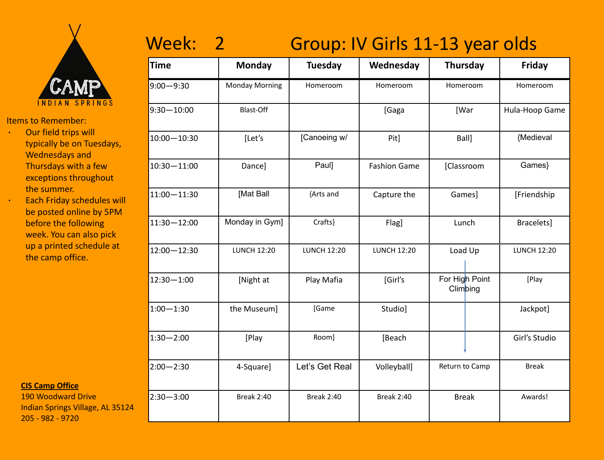

- ∙ Our field trips will typically be on Tuesdays, Wednesdays and Thursdays with a few exceptions throughout the summer.
- ∙ Each Friday schedules will be posted online by 5PM before the following week. You can also pick up a printed schedule at the camp office.

**CIS Camp Office**

190 Woodward Drive Indian Springs Village, AL 35124 205 - 982 - 9720

### Week: 2 Group: IV Girls 11-13 year olds

| <b>Time</b>     | <b>Monday</b>         | <b>Tuesday</b>     | Wednesday<br><b>Thursday</b>  |                            | Friday             |
|-----------------|-----------------------|--------------------|-------------------------------|----------------------------|--------------------|
| $9:00 - 9:30$   | <b>Monday Morning</b> | Homeroom           | Homeroom                      | Homeroom                   | Homeroom           |
| $9:30 - 10:00$  | <b>Blast-Off</b>      |                    | [Gaga                         | [War                       | Hula-Hoop Game     |
| $10:00 - 10:30$ | [Let's                | [Canoeing w/       | Pit]                          | Ball]                      | {Medieval          |
| 10:30-11:00     | Dance]                | Paul]              | <b>Fashion Game</b>           | [Classroom                 | Games}             |
| $11:00 - 11:30$ | [Mat Ball             | {Arts and          | Capture the                   | Games]                     | [Friendship        |
| 11:30-12:00     | Monday in Gym]        | Crafts}            | Flag]                         | Lunch                      | Bracelets]         |
| 12:00 - 12:30   | <b>LUNCH 12:20</b>    | <b>LUNCH 12:20</b> | <b>LUNCH 12:20</b><br>Load Up |                            | <b>LUNCH 12:20</b> |
| $12:30 - 1:00$  | [Night at             | Play Mafia         | [Girl's                       | For High Point<br>Climbing | [Play              |
| $1:00 - 1:30$   | the Museum]           | [Game              | Studio]                       |                            | Jackpot]           |
| $1:30 - 2:00$   | [Play                 | Room]              | [Beach                        |                            | Girl's Studio      |
| $2:00 - 2:30$   | 4-Square]             | Let's Get Real     | Volleyball]                   | Return to Camp             | <b>Break</b>       |
| $2:30 - 3:00$   | <b>Break 2:40</b>     | <b>Break 2:40</b>  | <b>Break 2:40</b>             | <b>Break</b>               | Awards!            |